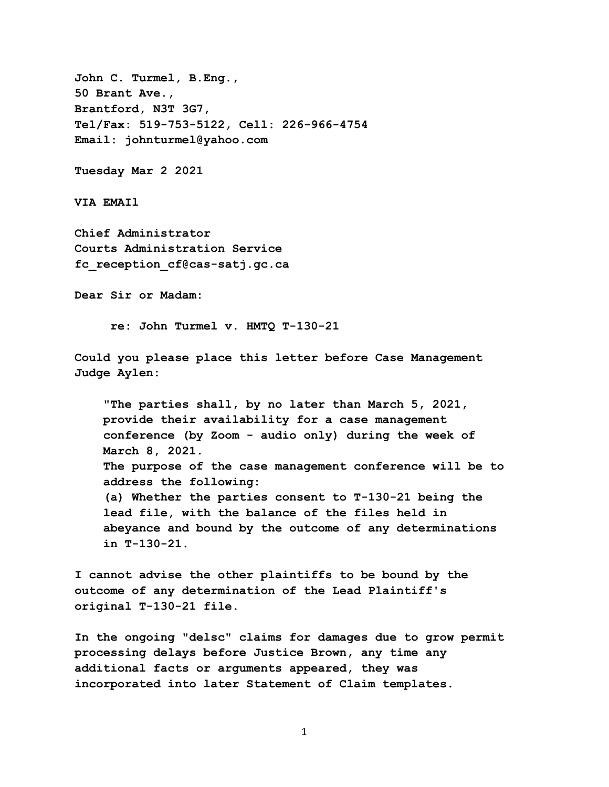**John C. Turmel, B.Eng., 50 Brant Ave., Brantford, N3T 3G7, Tel/Fax: 519-753-5122, Cell: 226-966-4754 Email: johnturmel@yahoo.com**

**Tuesday Mar 2 2021** 

**VIA EMAIl** 

**Chief Administrator Courts Administration Service fc\_reception\_cf@cas-satj.gc.ca**

**Dear Sir or Madam:** 

 **re: John Turmel v. HMTQ T-130-21** 

**Could you please place this letter before Case Management Judge Aylen:** 

 **"The parties shall, by no later than March 5, 2021, provide their availability for a case management conference (by Zoom - audio only) during the week of March 8, 2021. The purpose of the case management conference will be to address the following: (a) Whether the parties consent to T-130-21 being the lead file, with the balance of the files held in abeyance and bound by the outcome of any determinations in T-130-21.**

**I cannot advise the other plaintiffs to be bound by the outcome of any determination of the Lead Plaintiff's original T-130-21 file.**

**In the ongoing "delsc" claims for damages due to grow permit processing delays before Justice Brown, any time any additional facts or arguments appeared, they was incorporated into later Statement of Claim templates.** 

1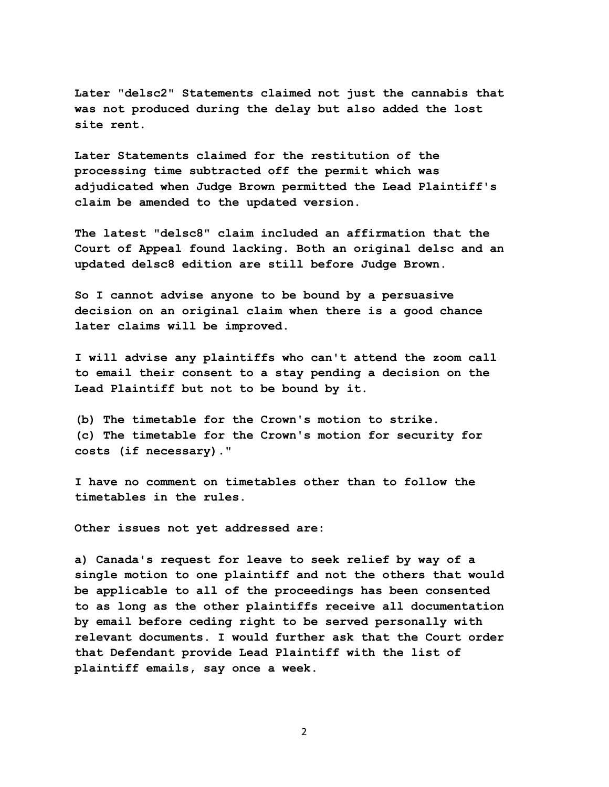**Later "delsc2" Statements claimed not just the cannabis that was not produced during the delay but also added the lost site rent.** 

**Later Statements claimed for the restitution of the processing time subtracted off the permit which was adjudicated when Judge Brown permitted the Lead Plaintiff's claim be amended to the updated version.** 

**The latest "delsc8" claim included an affirmation that the Court of Appeal found lacking. Both an original delsc and an updated delsc8 edition are still before Judge Brown.** 

**So I cannot advise anyone to be bound by a persuasive decision on an original claim when there is a good chance later claims will be improved.** 

**I will advise any plaintiffs who can't attend the zoom call to email their consent to a stay pending a decision on the Lead Plaintiff but not to be bound by it.** 

**(b) The timetable for the Crown's motion to strike. (c) The timetable for the Crown's motion for security for costs (if necessary)."**

**I have no comment on timetables other than to follow the timetables in the rules.** 

**Other issues not yet addressed are:** 

**a) Canada's request for leave to seek relief by way of a single motion to one plaintiff and not the others that would be applicable to all of the proceedings has been consented to as long as the other plaintiffs receive all documentation by email before ceding right to be served personally with relevant documents. I would further ask that the Court order that Defendant provide Lead Plaintiff with the list of plaintiff emails, say once a week.** 

2